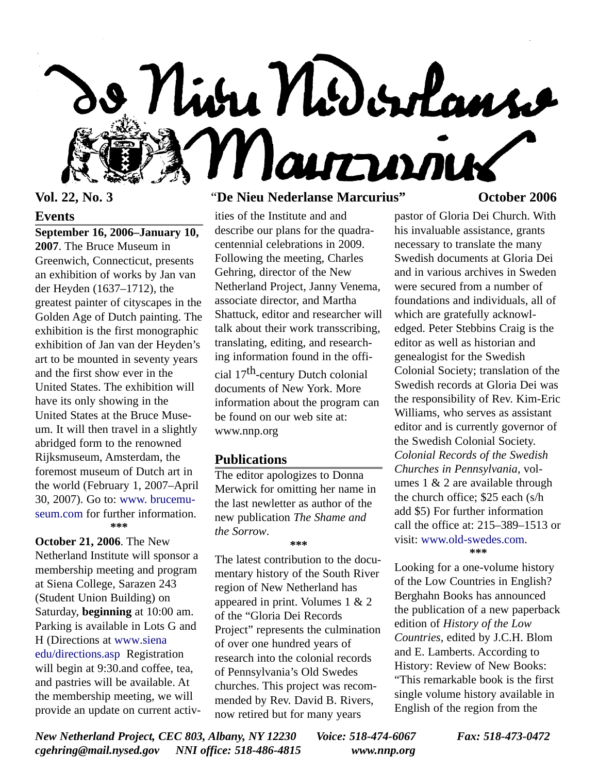

#### **Events**

**September 16, 2006–January 10, 2007**. The Bruce Museum in Greenwich, Connecticut, presents an exhibition of works by Jan van der Heyden (1637–1712), the greatest painter of cityscapes in the Golden Age of Dutch painting. The exhibition is the first monographic exhibition of Jan van der Heyden's art to be mounted in seventy years and the first show ever in the United States. The exhibition will have its only showing in the United States at the Bruce Museum. It will then travel in a slightly abridged form to the renowned Rijksmuseum, Amsterdam, the foremost museum of Dutch art in the world (February 1, 2007–April 30, 2007). Go to: www. brucemu[seum.com for further information.](http://www.brucemuseum.org) **\*\*\***

**October 21, 2006**. The New Netherland Institute will sponsor a membership meeting and program at Siena College, Sarazen 243 (Student Union Building) on Saturday, **beginning** at 10:00 am. Parking is available in Lots G and [H \(Directions at www](http://www.siena.edu/directions.asp).siena edu/directions.asp Registration will begin at 9:30.and coffee, tea, and pastries will be available. At the membership meeting, we will provide an update on current activ-

# **Vol. 22, No. 3** "**De Nieu Nederlanse Marcurius" October 2006**

ities of the Institute and and describe our plans for the quadracentennial celebrations in 2009. Following the meeting, Charles Gehring, director of the New Netherland Project, Janny Venema, associate director, and Martha Shattuck, editor and researcher will talk about their work transscribing, translating, editing, and researching information found in the offi-

cial 17th-century Dutch colonial documents of New York. More information about the program can be found on our web site at: www.nnp.org

#### **Publications**

The editor apologizes to Donna Merwick for omitting her name in the last newletter as author of the new publication *The Shame and the Sorrow*.

**\*\*\***

The latest contribution to the documentary history of the South River region of New Netherland has appeared in print. Volumes 1 & 2 of the "Gloria Dei Records Project" represents the culmination of over one hundred years of research into the colonial records of Pennsylvania's Old Swedes churches. This project was recommended by Rev. David B. Rivers, now retired but for many years

pastor of Gloria Dei Church. With his invaluable assistance, grants necessary to translate the many Swedish documents at Gloria Dei and in various archives in Sweden were secured from a number of foundations and individuals, all of which are gratefully acknowledged. Peter Stebbins Craig is the editor as well as historian and genealogist for the Swedish Colonial Society; translation of the Swedish records at Gloria Dei was the responsibility of Rev. Kim-Eric Williams, who serves as assistant editor and is currently governor of the Swedish Colonial Society. *Colonial Records of the Swedish Churches in Pennsylvania*, volumes 1 & 2 are available through the church office; \$25 each (s/h add \$5) For further information call the office at: 215–389–1513 or visit[: www.old-swedes.com.](http://www.old-swedes.com) **\*\*\***

Looking for a one-volume history of the Low Countries in English? Berghahn Books has announced the publication of a new paperback edition of *History of the Low Countries*, edited by J.C.H. Blom and E. Lamberts. According to History: Review of New Books: "This remarkable book is the first single volume history available in English of the region from the

*New Netherland Project, CEC 803, Albany, NY 12230 Voice: 518-474-6067 Fax: 518-473-0472 cgehring@mail.nysed.gov NNI office: 518-486-4815 www.nnp.org*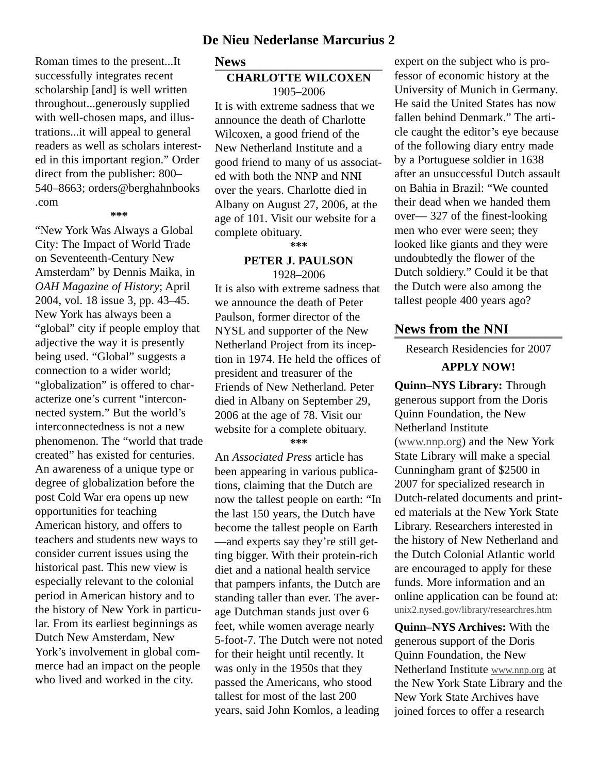#### **De Nieu Nederlanse Marcurius 2**

Roman times to the present...It successfully integrates recent scholarship [and] is well written throughout...generously supplied with well-chosen maps, and illustrations...it will appeal to general readers as well as scholars interested in this important region." Order direct from the publisher: 800– 540–8663; orders@berghahnbooks .com

**\*\*\***

"New York Was Always a Global City: The Impact of World Trade on Seventeenth-Century New Amsterdam" by Dennis Maika, in *OAH Magazine of History*; April 2004, vol. 18 issue 3, pp. 43–45. New York has always been a "global" city if people employ that adjective the way it is presently being used. "Global" suggests a connection to a wider world; "globalization" is offered to characterize one's current "interconnected system." But the world's interconnectedness is not a new phenomenon. The "world that trade created" has existed for centuries. An awareness of a unique type or degree of globalization before the post Cold War era opens up new opportunities for teaching American history, and offers to teachers and students new ways to consider current issues using the historical past. This new view is especially relevant to the colonial period in American history and to the history of New York in particular. From its earliest beginnings as Dutch New Amsterdam, New York's involvement in global commerce had an impact on the people who lived and worked in the city.

**News**

#### **CHARLOTTE WILCOXEN** 1905–2006

It is with extreme sadness that we announce the death of Charlotte Wilcoxen, a good friend of the New Netherland Institute and a good friend to many of us associated with both the NNP and NNI over the years. Charlotte died in Albany on August 27, 2006, at the age of 101. Visit our website for a complete obituary.

**\*\*\***

#### **PETER J. PAULSON** 1928–2006

It is also with extreme sadness that we announce the death of Peter Paulson, former director of the NYSL and supporter of the New Netherland Project from its inception in 1974. He held the offices of president and treasurer of the Friends of New Netherland. Peter died in Albany on September 29, 2006 at the age of 78. Visit our website for a complete obituary. **\*\*\***

An *Associated Press* article has been appearing in various publications, claiming that the Dutch are now the tallest people on earth: "In the last 150 years, the Dutch have become the tallest people on Earth —and experts say they're still getting bigger. With their protein-rich diet and a national health service that pampers infants, the Dutch are standing taller than ever. The average Dutchman stands just over 6 feet, while women average nearly 5-foot-7. The Dutch were not noted for their height until recently. It was only in the 1950s that they passed the Americans, who stood tallest for most of the last 200 years, said John Komlos, a leading

expert on the subject who is professor of economic history at the University of Munich in Germany. He said the United States has now fallen behind Denmark." The article caught the editor's eye because of the following diary entry made by a Portuguese soldier in 1638 after an unsuccessful Dutch assault on Bahia in Brazil: "We counted their dead when we handed them over— 327 of the finest-looking men who ever were seen; they looked like giants and they were undoubtedly the flower of the Dutch soldiery." Could it be that the Dutch were also among the tallest people 400 years ago?

## **News from the NNI**

Research Residencies for 2007

#### **APPLY NOW!**

**Quinn–NYS Library:** Through generous support from the Doris Quinn Foundation, the New Netherland Institute (www.nnp.org) and the New York State Library will make a special Cunningham grant of \$2500 in 2007 for specialized research in Dutch-related documents and printed materials at the New York State Library. Researchers interested in the history of New Netherland and the Dutch Colonial Atlantic world are encouraged to apply for these funds. More information and an online application can be found at: unix2.nysed.gov/library/researchres.htm

**Quinn–NYS Archives:** With the generous support of the Doris Quinn Foundation, the New Netherland Institute www.nnp.org at the New York State Library and the New York State Archives have joined forces to offer a research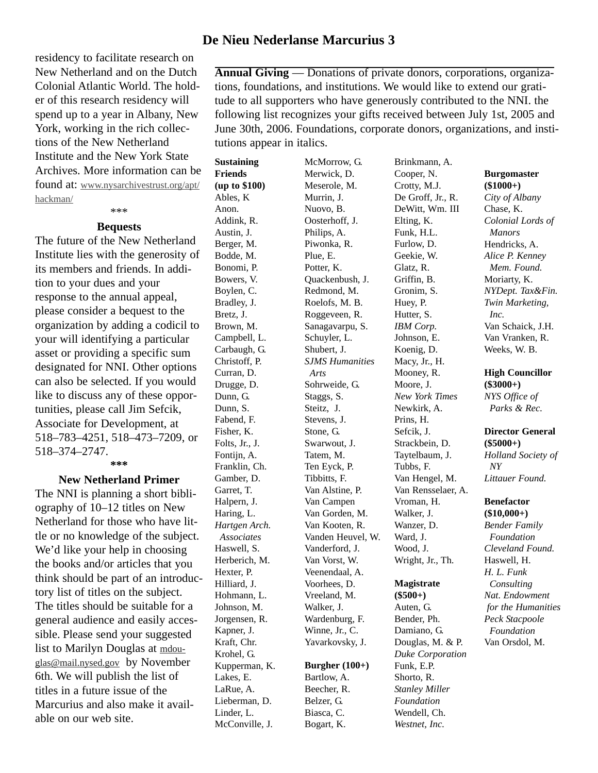# **De Nieu Nederlanse Marcurius 3**

residency to facilitate research on New Netherland and on the Dutch Colonial Atlantic World. The holder of this research residency will spend up to a year in Albany, New York, working in the rich collections of the New Netherland Institute and the New York State Archives. More information can be found at: www.nysarchivestrust.org/apt/ hackman/

#### \*\*\* **Bequests**

The future of the New Netherland Institute lies with the generosity of its members and friends. In addition to your dues and your response to the annual appeal, please consider a bequest to the organization by adding a codicil to your will identifying a particular asset or providing a specific sum designated for NNI. Other options can also be selected. If you would like to discuss any of these opportunities, please call Jim Sefcik, Associate for Development, at 518–783–4251, 518–473–7209, or 518–374–2747. **\*\*\***

# **New Netherland Primer**

The NNI is planning a short bibliography of 10–12 titles on New Netherland for those who have little or no knowledge of the subject. We'd like your help in choosing the books and/or articles that you think should be part of an introductory list of titles on the subject. The titles should be suitable for a general audience and easily accessible. Please send your suggested list to Marilyn Douglas at mdouglas@mail.nysed.gov by November 6th. We will publish the list of titles in a future issue of the Marcurius and also make it available on our web site.

**Annual Giving** — Donations of private donors, corporations, organizations, foundations, and institutions. We would like to extend our gratitude to all supporters who have generously contributed to the NNI. the following list recognizes your gifts received between July 1st, 2005 and June 30th, 2006. Foundations, corporate donors, organizations, and institutions appear in italics.

**Sustaining Friends (up to \$100)** Ables, K Anon. Addink, R. Austin, J. Berger, M. Bodde, M. Bonomi, P. Bowers, V. Boylen, C. Bradley, J. Bretz, J. Brown, M. Campbell, L. Carbaugh, G. Christoff, P. Curran, D. Drugge, D. Dunn, G. Dunn, S. Fabend, F. Fisher, K. Folts, Jr., J. Fontijn, A. Franklin, Ch. Gamber, D. Garret, T. Halpern, J. Haring, L. *Hartgen Arch. Associates* Haswell, S. Herberich, M. Hexter, P. Hilliard, J. Hohmann, L. Johnson, M. Jorgensen, R. Kapner, J. Kraft, Chr. Krohel, G. Kupperman, K. Lakes, E. LaRue, A. Lieberman, D. Linder, L. McConville, J.

McMorrow, G. Merwick, D. Meserole, M. Murrin, J. Nuovo, B. Oosterhoff, J. Philips, A. Piwonka, R. Plue, E. Potter, K. Quackenbush, J. Redmond, M. Roelofs, M. B. Roggeveen, R. Sanagavarpu, S. Schuyler, L. Shubert, J. *SJMS Humanities Arts* Sohrweide, G. Staggs, S. Steitz, J. Stevens, J. Stone, G. Swarwout, J. Tatem, M. Ten Eyck, P. Tibbitts, F. Van Alstine, P. Van Campen Van Gorden, M. Van Kooten, R. Vanden Heuvel, W. Vanderford, J. Van Vorst, W. Veenendaal, A. Voorhees, D. Vreeland, M. Walker, J. Wardenburg, F. Winne, Jr., C. Yavarkovsky, J. **Burgher (100+)** Bartlow, A. Beecher, R.

Belzer, G. Biasca, C. Bogart, K. Cooper, N. Crotty, M.J. De Groff, Jr., R. DeWitt, Wm. III Elting, K. Funk, H.L. Furlow, D. Geekie, W. Glatz, R. Griffin, B. Gronim, S. Huey, P. Hutter, S. *IBM Corp.* Johnson, E. Koenig, D. Macy, Jr., H. Mooney, R. Moore, J. *New York Times* Newkirk, A. Prins, H. Sefcik, J. Strackbein, D. Taytelbaum, J. Tubbs, F. Van Hengel, M. Van Rensselaer, A. Vroman, H. Walker, J. Wanzer, D. Ward, J. Wood, J. Wright, Jr., Th. **Magistrate**

Brinkmann, A.

#### **(\$500+)** Auten, G. Bender, Ph. Damiano, G. Douglas, M. & P. *Duke Corporation* Funk, E.P. Shorto, R. *Stanley Miller Foundation* Wendell, Ch. *Westnet, Inc.*

#### **Burgomaster (\$1000+)**

*City of Albany* Chase, K. *Colonial Lords of Manors* Hendricks, A. *Alice P. Kenney Mem. Found.* Moriarty, K. *NYDept. Tax&Fin. Twin Marketing, Inc.* Van Schaick, J.H. Van Vranken, R. Weeks, W. B.

#### **High Councillor (\$3000+)** *NYS Office of Parks & Rec.*

#### **Director General (\$5000+)** *Holland Society of*

*NY Littauer Found.*

#### **Benefactor**

**(\$10,000+)** *Bender Family Foundation Cleveland Found.* Haswell, H. *H. L. Funk Consulting Nat. Endowment for the Humanities Peck Stacpoole Foundation* Van Orsdol, M.